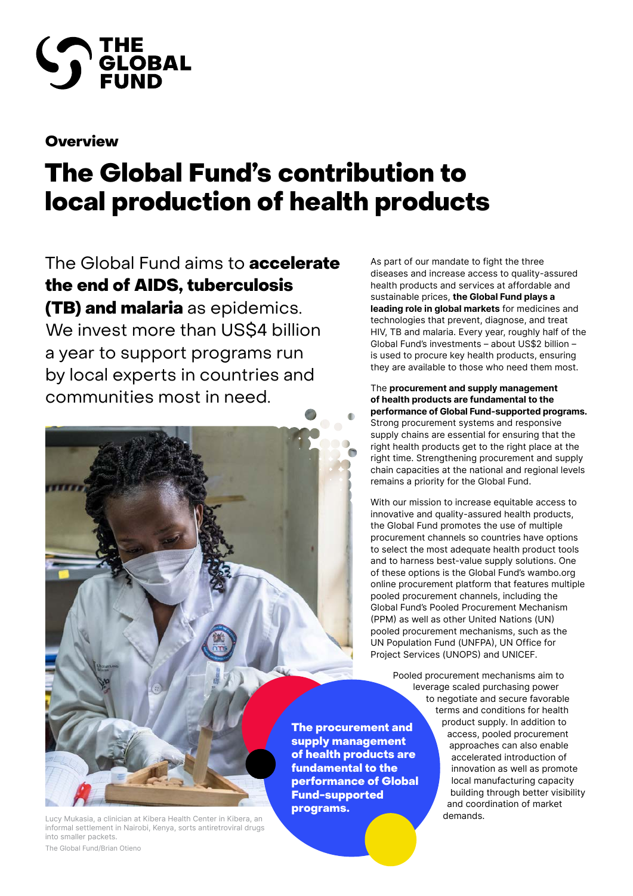

# **Overview**

# The Global Fund's contribution to local production of health products

The Global Fund aims to **accelerate** the end of AIDS, tuberculosis **(TB) and malaria** as epidemics. We invest more than US\$4 billion a year to support programs run by local experts in countries and communities most in need.

As part of our mandate to fight the three diseases and increase access to quality-assured health products and services at affordable and sustainable prices, **the Global Fund plays a leading role in global markets** for medicines and technologies that prevent, diagnose, and treat HIV, TB and malaria. Every year, roughly half of the Global Fund's investments – about US\$2 billion – is used to procure key health products, ensuring they are available to those who need them most.

The **procurement and supply management of health products are fundamental to the performance of Global Fund-supported programs.**  Strong procurement systems and responsive supply chains are essential for ensuring that the right health products get to the right place at the right time. Strengthening procurement and supply chain capacities at the national and regional levels remains a priority for the Global Fund.

With our mission to increase equitable access to innovative and quality-assured health products, the Global Fund promotes the use of multiple procurement channels so countries have options to select the most adequate health product tools and to harness best-value supply solutions. One of these options is the Global Fund's wambo.org online procurement platform that features multiple pooled procurement channels, including the Global Fund's Pooled Procurement Mechanism (PPM) as well as other United Nations (UN) pooled procurement mechanisms, such as the UN Population Fund (UNFPA), UN Office for Project Services (UNOPS) and UNICEF.

Pooled procurement mechanisms aim to leverage scaled purchasing power to negotiate and secure favorable terms and conditions for health product supply. In addition to access, pooled procurement approaches can also enable accelerated introduction of innovation as well as promote local manufacturing capacity building through better visibility and coordination of market The procurement and of health products are performance of Global

supply management

fundamental to the

Fund-supported

programs.

Lucy Mukasia, a clinician at Kibera Health Center in Kibera, an **China Center in Community Community** demands. informal settlement in Nairobi, Kenya, sorts antiretroviral drugs into smaller packets. The Global Fund/Brian Otieno